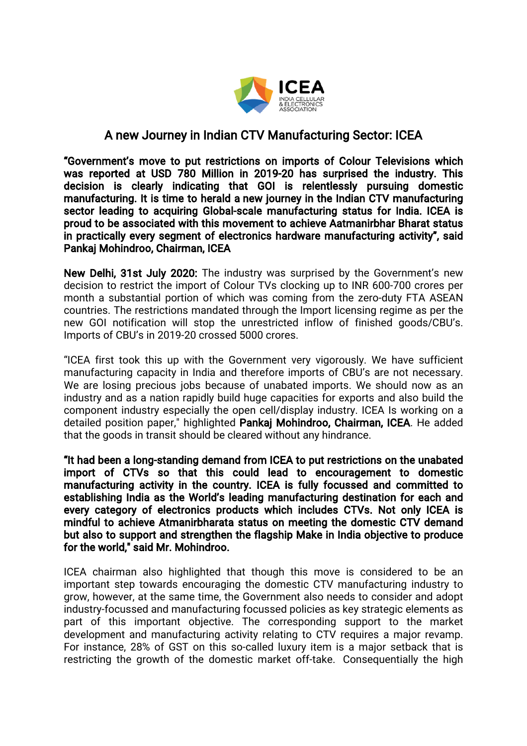

## A new Journey in Indian CTV Manufacturing Sector: ICEA

"Government's move to put restrictions on imports of Colour Televisions which was reported at USD 780 Million in 2019-20 has surprised the industry. This decision is clearly indicating that GOI is relentlessly pursuing domestic manufacturing. It is time to herald a new journey in the Indian CTV manufacturing sector leading to acquiring Global-scale manufacturing status for India. ICEA is proud to be associated with this movement to achieve Aatmanirbhar Bharat status in practically every segment of electronics hardware manufacturing activity", said Pankaj Mohindroo, Chairman, ICEA

New Delhi, 31st July 2020: The industry was surprised by the Government's new decision to restrict the import of Colour TVs clocking up to INR 600-700 crores per month a substantial portion of which was coming from the zero-duty FTA ASEAN countries. The restrictions mandated through the Import licensing regime as per the new GOI notification will stop the unrestricted inflow of finished goods/CBU's. Imports of CBU's in 2019-20 crossed 5000 crores.

"ICEA first took this up with the Government very vigorously. We have sufficient manufacturing capacity in India and therefore imports of CBU's are not necessary. We are losing precious jobs because of unabated imports. We should now as an industry and as a nation rapidly build huge capacities for exports and also build the component industry especially the open cell/display industry. ICEA Is working on a detailed position paper," highlighted Pankaj Mohindroo, Chairman, ICEA. He added that the goods in transit should be cleared without any hindrance.

"It had been a long-standing demand from ICEA to put restrictions on the unabated import of CTVs so that this could lead to encouragement to domestic manufacturing activity in the country. ICEA is fully focussed and committed to establishing India as the World's leading manufacturing destination for each and every category of electronics products which includes CTVs. Not only ICEA is mindful to achieve Atmanirbharata status on meeting the domestic CTV demand but also to support and strengthen the flagship Make in India objective to produce for the world," said Mr. Mohindroo.

ICEA chairman also highlighted that though this move is considered to be an important step towards encouraging the domestic CTV manufacturing industry to grow, however, at the same time, the Government also needs to consider and adopt industry-focussed and manufacturing focussed policies as key strategic elements as part of this important objective. The corresponding support to the market development and manufacturing activity relating to CTV requires a major revamp. For instance, 28% of GST on this so-called luxury item is a major setback that is restricting the growth of the domestic market off-take. Consequentially the high